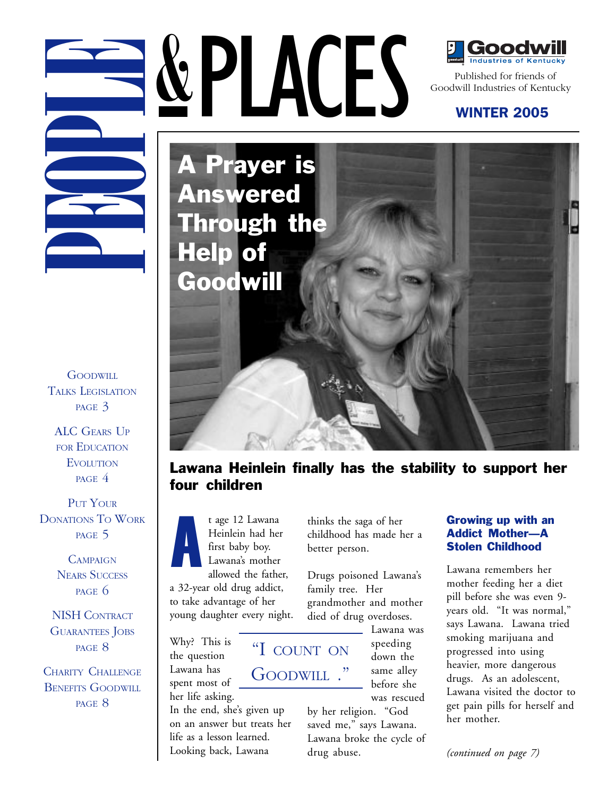**GOODWILL** TALKS LEGISLATION PAGE 3

ALC GEARS UP FOR EDUCATION **EVOLUTION** PAGE 4

PUT YOUR DONATIONS TO WORK PAGE 5

> **CAMPAIGN** NEARS SUCCESS PAGE 6

NISH CONTRACT GUARANTEES JOBS PAGE 8

CHARITY CHALLENGE BENEFITS GOODWILL PAGE 8

A t age 12 Lawana Heinlein had her first baby boy. Lawana's mother allowed the father, a 32-year old drug addict,

to take advantage of her young daughter every night.

Why? This is the question Lawana has spent most of

her life asking. In the end, she's given up on an answer but treats her life as a lesson learned. Looking back, Lawana

thinks the saga of her childhood has made her a better person.

Drugs poisoned Lawana's family tree. Her grandmother and mother died of drug overdoses.

"I COUNT ON

GOODWILL ."

Lawana was speeding down the same alley before she was rescued

by her religion. "God saved me," says Lawana. Lawana broke the cycle of drug abuse.

#### Growing up with an Addict Mother—A Stolen Childhood

Lawana remembers her mother feeding her a diet pill before she was even 9 years old. "It was normal," says Lawana. Lawana tried smoking marijuana and progressed into using heavier, more dangerous drugs. As an adolescent, Lawana visited the doctor to get pain pills for herself and her mother.

Goodwill Industries of Kentucky

### WINTER 2005

**PEOPLACES**<br>
PUBLISHED COORDING THE PUBLISHED COORDING THE PUBLISHED COORDINATES OF KENTU<br> **A Prayer is**<br>
A Prayer is<br>
A Prayer is<br>
Help of Help of A Prayer is Answered Through the Help of Goodwill

PLACES

## Lawana Heinlein finally has the stability to support her four children

*(continued on page 7)*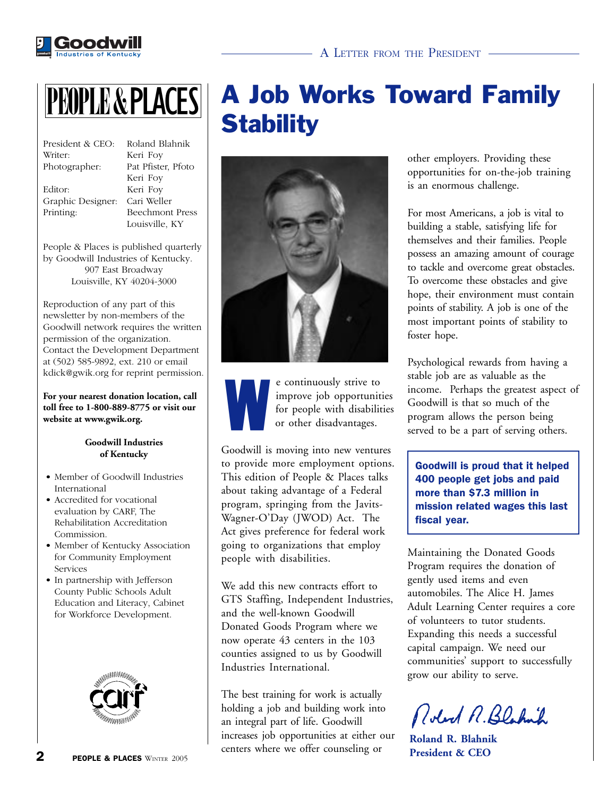



| President & CEO: | Ro  |
|------------------|-----|
| Writer:          | Ke: |
| Photographer:    | Pat |
|                  | Ke  |
| Editor:          | Кe  |

land Blahnik ri Foy Pfister, Pfoto ri Foy ri Foy Graphic Designer: Cari Weller Printing: Beechmont Press Louisville, KY

People & Places is published quarterly by Goodwill Industries of Kentucky. 907 East Broadway Louisville, KY 40204-3000

Reproduction of any part of this newsletter by non-members of the Goodwill network requires the written permission of the organization. Contact the Development Department at (502) 585-9892, ext. 210 or email kdick@gwik.org for reprint permission.

**For your nearest donation location, call toll free to 1-800-889-8775 or visit our website at www.gwik.org.**

#### **Goodwill Industries of Kentucky**

- Member of Goodwill Industries International
- Accredited for vocational evaluation by CARF, The Rehabilitation Accreditation Commission.
- Member of Kentucky Association for Community Employment Services
- In partnership with Jefferson County Public Schools Adult Education and Literacy, Cabinet for Workforce Development.





W e continuously strive to improve job opportunities for people with disabilities or other disadvantages.

Goodwill is moving into new ventures to provide more employment options. This edition of People & Places talks about taking advantage of a Federal program, springing from the Javits-Wagner-O'Day (JWOD) Act. The Act gives preference for federal work going to organizations that employ people with disabilities.

We add this new contracts effort to GTS Staffing, Independent Industries, and the well-known Goodwill Donated Goods Program where we now operate 43 centers in the 103 counties assigned to us by Goodwill Industries International.

The best training for work is actually holding a job and building work into an integral part of life. Goodwill increases job opportunities at either our centers where we offer counseling or

other employers. Providing these opportunities for on-the-job training is an enormous challenge.

For most Americans, a job is vital to building a stable, satisfying life for themselves and their families. People possess an amazing amount of courage to tackle and overcome great obstacles. To overcome these obstacles and give hope, their environment must contain points of stability. A job is one of the most important points of stability to foster hope.

Psychological rewards from having a stable job are as valuable as the income. Perhaps the greatest aspect of Goodwill is that so much of the program allows the person being served to be a part of serving others.

Goodwill is proud that it helped 400 people get jobs and paid more than \$7.3 million in mission related wages this last fiscal year.

Maintaining the Donated Goods Program requires the donation of gently used items and even automobiles. The Alice H. James Adult Learning Center requires a core of volunteers to tutor students. Expanding this needs a successful capital campaign. We need our communities' support to successfully grow our ability to serve.

Robert R. Blaknik

**Roland R. Blahnik President & CEO**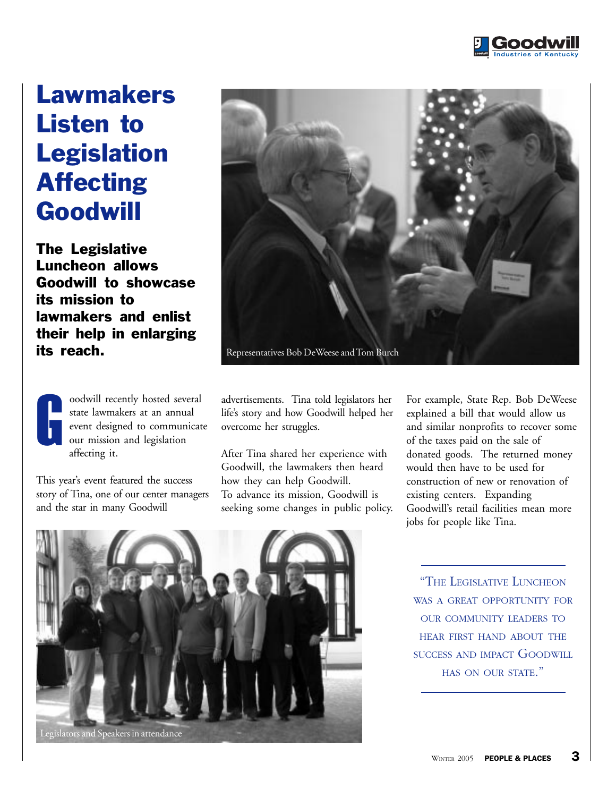

## Lawmakers Listen to **Legislation** Affecting Goodwill

The Legislative Luncheon allows Goodwill to showcase its mission to lawmakers and enlist their help in enlarging its reach.

oodwill recently hosted several state lawmakers at an annual event designed to communicate our mission and legislation affecting it. oodwill recently hosted several advertisements. Tina told legislators her<br>state lawmakers at an annual life's story and how Goodwill helped her<br>event designed to communicate overcome her struggles.<br>our mission and legislat

This year's event featured the success story of Tina, one of our center managers and the star in many Goodwill



life's story and how Goodwill helped her overcome her struggles.

After Tina shared her experience with Goodwill, the lawmakers then heard how they can help Goodwill. To advance its mission, Goodwill is seeking some changes in public policy. For example, State Rep. Bob DeWeese explained a bill that would allow us and similar nonprofits to recover some of the taxes paid on the sale of donated goods. The returned money would then have to be used for construction of new or renovation of existing centers. Expanding Goodwill's retail facilities mean more jobs for people like Tina.



"THE LEGISLATIVE LUNCHEON WAS A GREAT OPPORTUNITY FOR OUR COMMUNITY LEADERS TO HEAR FIRST HAND ABOUT THE SUCCESS AND IMPACT GOODWILL HAS ON OUR STATE."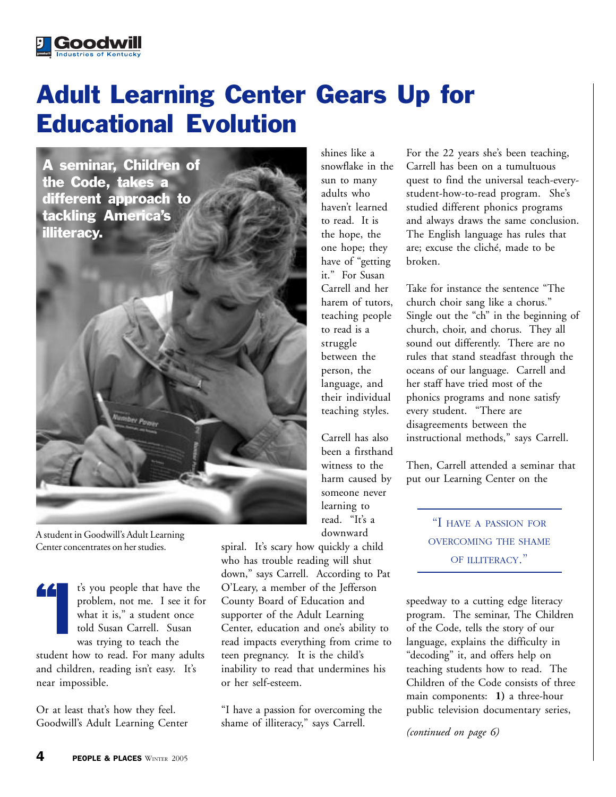# Adult Learning Center Gears Up for Educational Evolution

A seminar, Children of the Code, takes a different approach to tackling America's illiteracy.

**Goodwill** 

A student in Goodwill's Adult Learning Center concentrates on her studies.

"I t's you people that have the problem, not me. I see it for what it is," a student once told Susan Carrell. Susan was trying to teach the student how to read. For many adults

and children, reading isn't easy. It's near impossible.

Or at least that's how they feel. Goodwill's Adult Learning Center shines like a snowflake in the sun to many adults who haven't learned to read. It is the hope, the one hope; they have of "getting it." For Susan Carrell and her harem of tutors, teaching people to read is a struggle between the person, the language, and their individual teaching styles.

Carrell has also been a firsthand witness to the harm caused by someone never learning to read. "It's a downward

spiral. It's scary how quickly a child who has trouble reading will shut down," says Carrell. According to Pat O'Leary, a member of the Jefferson County Board of Education and supporter of the Adult Learning Center, education and one's ability to read impacts everything from crime to teen pregnancy. It is the child's inability to read that undermines his or her self-esteem.

"I have a passion for overcoming the shame of illiteracy," says Carrell.

For the 22 years she's been teaching, Carrell has been on a tumultuous quest to find the universal teach-everystudent-how-to-read program. She's studied different phonics programs and always draws the same conclusion. The English language has rules that are; excuse the cliché, made to be broken.

church choir sang like a chorus." Take for instance the sentence "The Single out the "ch" in the beginning of church, choir, and chorus. They all sound out differently. There are no rules that stand steadfast through the oceans of our language. Carrell and her staff have tried most of the phonics programs and none satisfy every student. "There are disagreements between the instructional methods," says Carrell.

Then, Carrell attended a seminar that put our Learning Center on the

> "I HAVE <sup>A</sup> PASSION FOR OVERCOMING THE SHAME OF ILLITERACY."

speedway to a cutting edge literacy program. The seminar, The Children of the Code, tells the story of our language, explains the difficulty in "decoding" it, and offers help on teaching students how to read. The Children of the Code consists of three main components: **1)** a three-hour public television documentary series,

*(continued on page 6)*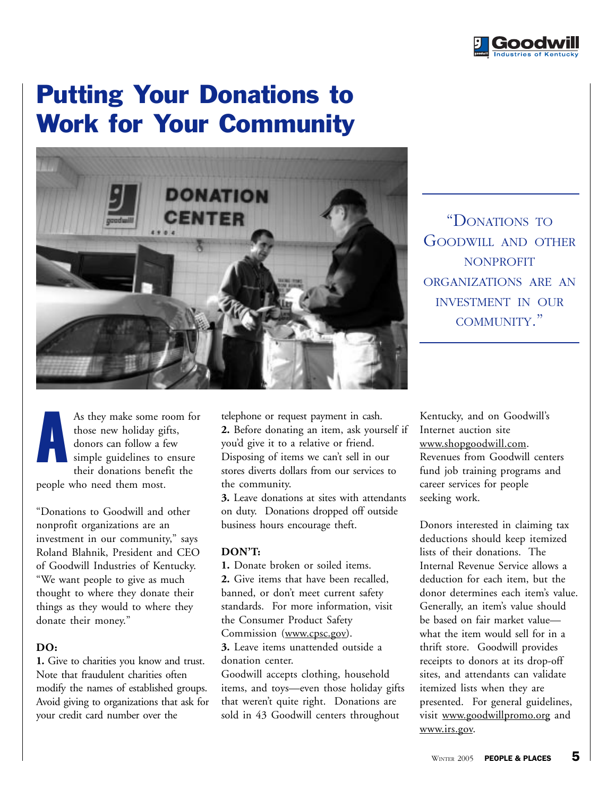

## Putting Your Donations to Work for Your Community



"DONATIONS TO GOODWILL AND OTHER NONPROFIT ORGANIZATIONS ARE AN INVESTMENT IN OUR COMMUNITY."

As they make some room for to those new holiday gifts, 2. B<br>donors can follow a few you'd simple guidelines to ensure U<br>their donations benefit the st people who need them most.<br> those new holiday gifts, simple guidelines to ensure A

nonprofit organizations are an investment in our community," says **out of her way to do whatever she can** Roland Blahnik, President and CEO **for students."** "Donations to Goodwill and other of Goodwill Industries of Kentucky. "We want people to give as much thought to where they donate their things as they would to where they donate their money."

#### **DO:**

**1.** Give to charities you know and trust. Note that fraudulent charities often modify the names of established groups. Avoid giving to organizations that ask for your credit card number over the

telephone or request payment in cash. **2.** Before donating an item, ask yourself if you'd give it to a relative or friend. Disposing of items we can't sell in our stores diverts dollars from our services to the community.

**3.** Leave donations at sites with attendants on duty. Donations dropped off outside business hours encourage theft.

### **DON'T:**

**1.** Donate broken or soiled items. **2.** Give items that have been recalled, banned, or don't meet current safety standards. For more information, visit the Consumer Product Safety Commission (www.cpsc.gov).

**3.** Leave items unattended outside a donation center.

Goodwill accepts clothing, household items, and toys—even those holiday gifts that weren't quite right. Donations are sold in 43 Goodwill centers throughout

Kentucky, and on Goodwill's Internet auction site www.shopgoodwill.com. Revenues from Goodwill centers fund job training programs and career services for people seeking work.

Donors interested in claiming tax deductions should keep itemized lists of their donations. The Internal Revenue Service allows a deduction for each item, but the donor determines each item's value. Generally, an item's value should be based on fair market value what the item would sell for in a thrift store. Goodwill provides receipts to donors at its drop-off sites, and attendants can validate itemized lists when they are presented. For general guidelines, visit www.goodwillpromo.org and www.irs.gov.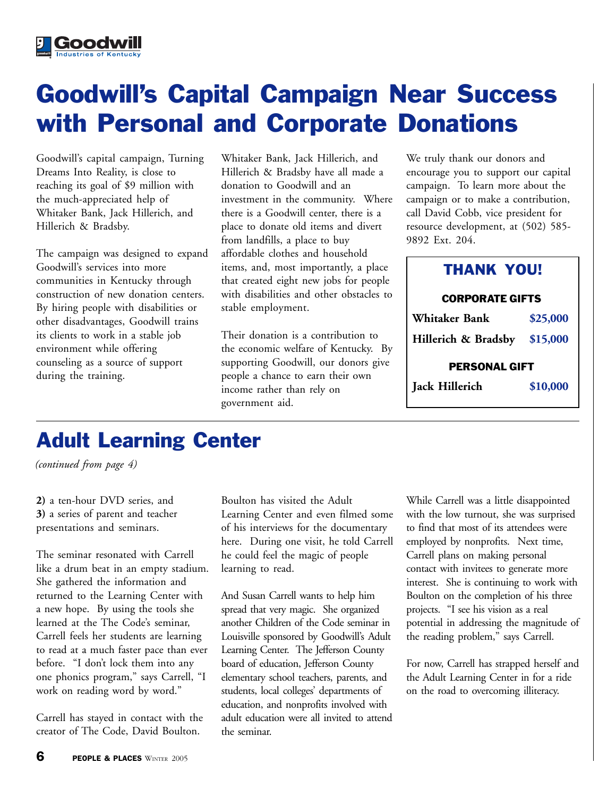# Goodwill's Capital Campaign Near Success with Personal and Corporate Donations

Goodwill's capital campaign, Turning Dreams Into Reality, is close to reaching its goal of \$9 million with the much-appreciated help of Whitaker Bank, Jack Hillerich, and Hillerich & Bradsby.

The campaign was designed to expand Goodwill's services into more communities in Kentucky through construction of new donation centers. By hiring people with disabilities or other disadvantages, Goodwill trains its clients to work in a stable job environment while offering counseling as a source of support during the training.

Whitaker Bank, Jack Hillerich, and Hillerich & Bradsby have all made a donation to Goodwill and an investment in the community. Where there is a Goodwill center, there is a place to donate old items and divert from landfills, a place to buy affordable clothes and household items, and, most importantly, a place that created eight new jobs for people with disabilities and other obstacles to stable employment.

Their donation is a contribution to the economic welfare of Kentucky. By supporting Goodwill, our donors give people a chance to earn their own income rather than rely on government aid.

We truly thank our donors and encourage you to support our capital campaign. To learn more about the campaign or to make a contribution, call David Cobb, vice president for resource development, at (502) 585- 9892 Ext. 204.

### THANK YOU!

### CORPORATE GIFTS

| Jack Hillerich               | \$10,000 |  |
|------------------------------|----------|--|
| <b>PERSONAL GIFT</b>         |          |  |
| Hillerich & Bradsby \$15,000 |          |  |
| Whitaker Bank                | \$25,000 |  |

## Adult Learning Center

*(continued from page 4)*

**2)** a ten-hour DVD series, and **3)** a series of parent and teacher presentations and seminars.

The seminar resonated with Carrell like a drum beat in an empty stadium. She gathered the information and returned to the Learning Center with a new hope. By using the tools she learned at the The Code's seminar, Carrell feels her students are learning to read at a much faster pace than ever before. "I don't lock them into any one phonics program," says Carrell, "I work on reading word by word."

Carrell has stayed in contact with the creator of The Code, David Boulton.

Boulton has visited the Adult Learning Center and even filmed some of his interviews for the documentary here. During one visit, he told Carrell he could feel the magic of people learning to read.

And Susan Carrell wants to help him spread that very magic. She organized another Children of the Code seminar in Louisville sponsored by Goodwill's Adult Learning Center. The Jefferson County board of education, Jefferson County elementary school teachers, parents, and students, local colleges' departments of education, and nonprofits involved with adult education were all invited to attend the seminar.

While Carrell was a little disappointed with the low turnout, she was surprised to find that most of its attendees were employed by nonprofits. Next time, Carrell plans on making personal contact with invitees to generate more interest. She is continuing to work with Boulton on the completion of his three projects. "I see his vision as a real potential in addressing the magnitude of the reading problem," says Carrell.

For now, Carrell has strapped herself and the Adult Learning Center in for a ride on the road to overcoming illiteracy.

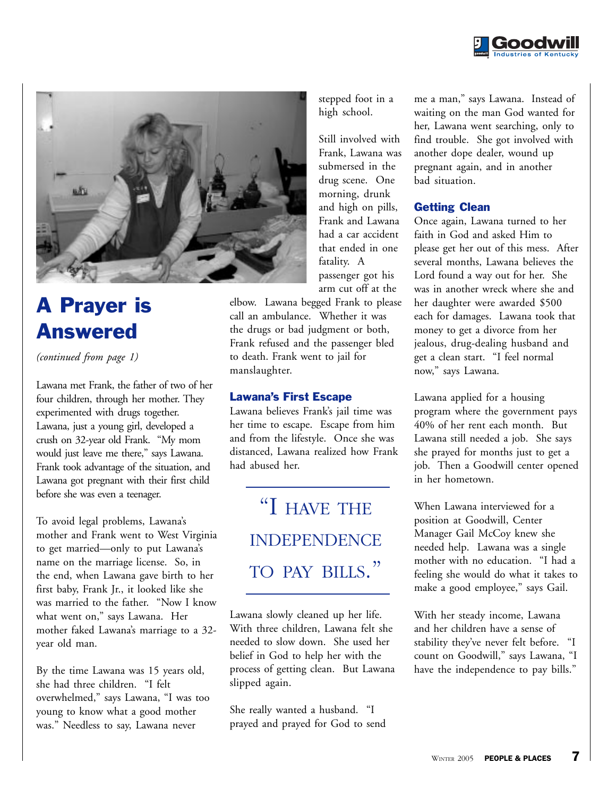



## A Prayer is Answered

*(continued from page 1)*

Lawana met Frank, the father of two of her four children, through her mother. They experimented with drugs together. Lawana, just a young girl, developed a crush on 32-year old Frank. "My mom would just leave me there," says Lawana. Frank took advantage of the situation, and Lawana got pregnant with their first child before she was even a teenager.

To avoid legal problems, Lawana's mother and Frank went to West Virginia to get married—only to put Lawana's name on the marriage license. So, in the end, when Lawana gave birth to her first baby, Frank Jr., it looked like she was married to the father. "Now I know what went on," says Lawana. Her mother faked Lawana's marriage to a 32 year old man.

By the time Lawana was 15 years old, she had three children. "I felt overwhelmed," says Lawana, "I was too young to know what a good mother was." Needless to say, Lawana never

stepped foot in a high school.

Still involved with Frank, Lawana was submersed in the drug scene. One morning, drunk and high on pills, Frank and Lawana had a car accident that ended in one fatality. A passenger got his arm cut off at the

elbow. Lawana begged Frank to please call an ambulance. Whether it was the drugs or bad judgment or both, Frank refused and the passenger bled to death. Frank went to jail for manslaughter.

### Lawana's First Escape

Lawana believes Frank's jail time was her time to escape. Escape from him and from the lifestyle. Once she was distanced, Lawana realized how Frank had abused her.

> "I HAVE THE INDEPENDENCE TO PAY BILLS."

Lawana slowly cleaned up her life. With three children, Lawana felt she needed to slow down. She used her belief in God to help her with the process of getting clean. But Lawana slipped again.

She really wanted a husband. "I prayed and prayed for God to send me a man," says Lawana. Instead of waiting on the man God wanted for her, Lawana went searching, only to find trouble. She got involved with another dope dealer, wound up pregnant again, and in another bad situation.

### Getting Clean

Once again, Lawana turned to her faith in God and asked Him to please get her out of this mess. After several months, Lawana believes the Lord found a way out for her. She was in another wreck where she and her daughter were awarded \$500 each for damages. Lawana took that money to get a divorce from her jealous, drug-dealing husband and get a clean start. "I feel normal now," says Lawana.

Lawana applied for a housing program where the government pays 40% of her rent each month. But Lawana still needed a job. She says she prayed for months just to get a job. Then a Goodwill center opened in her hometown.

When Lawana interviewed for a position at Goodwill, Center Manager Gail McCoy knew she needed help. Lawana was a single mother with no education. "I had a feeling she would do what it takes to make a good employee," says Gail.

With her steady income, Lawana and her children have a sense of stability they've never felt before. "I count on Goodwill," says Lawana, "I have the independence to pay bills."